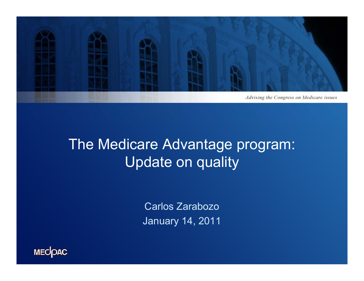

## The Medicare Advantage program: Update on quality

Carlos Zarabozo January 14, 2011

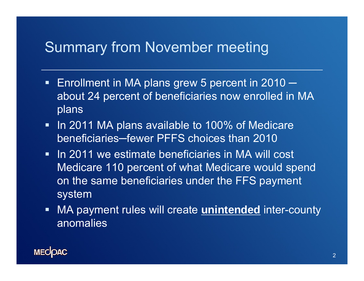## Summary from November meeting

- **Enrollment in MA plans grew 5 percent in 2010** ─ about 24 percent of beneficiaries now enrolled in MA plans
- In 2011 MA plans available to 100% of Medicare beneficiaries─fewer PFFS choices than 2010
- **IF In 2011 we estimate beneficiaries in MA will cost** Medicare 110 percent of what Medicare would spend on the same beneficiaries under the FFS payment system
- $\blacksquare$  MA payment rules will create **unintended** inter-county anomalies

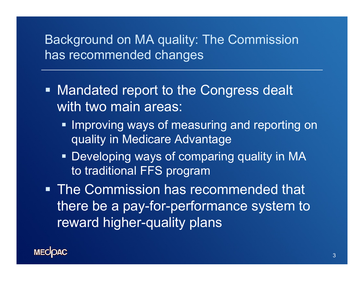### Background on MA quality: The Commission has recommended changes

- Mandated report to the Congress dealt with two main areas:
	- **Improving ways of measuring and reporting on** quality in Medicare Advantage
	- Developing ways of comparing quality in MA to traditional FFS program
- The Commission has recommended that there be a pay-for-performance system to reward higher-quality plans

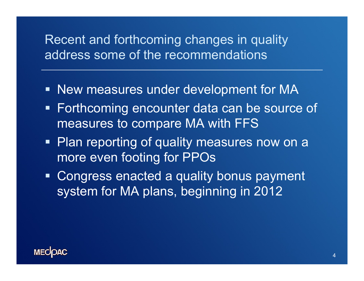### Recent and forthcoming changes in quality address some of the recommendations

- New measures under development for MA
- **Forthcoming encounter data can be source of** measures to compare MA with FFS
- **Plan reporting of quality measures now on a** more even footing for PPOs
- **Example 2 Sepandie Congress enacted a quality bonus payment** system for MA plans, beginning in 2012

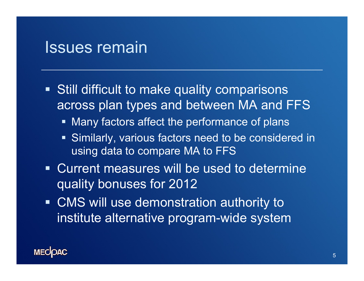## Issues remain

- Still difficult to make quality comparisons across plan types and between MA and FFS
	- $\blacksquare$  Many factors affect the performance of plans
	- **Similarly, various factors need to be considered in** using data to compare MA to FFS
- Current measures will be used to determine quality bonuses for 2012
- CMS will use demonstration authority to institute alternative program-wide system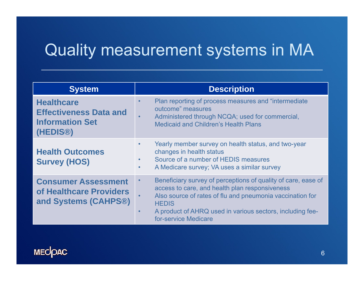# Quality measurement systems in MA

| <b>System</b>                                                                                         | <b>Description</b>                                                                                                                                                                                                                                                                                          |  |  |  |  |
|-------------------------------------------------------------------------------------------------------|-------------------------------------------------------------------------------------------------------------------------------------------------------------------------------------------------------------------------------------------------------------------------------------------------------------|--|--|--|--|
| <b>Healthcare</b><br><b>Effectiveness Data and</b><br><b>Information Set</b><br>(HEDIS <sup>®</sup> ) | Plan reporting of process measures and "intermediate"<br>$\bullet$<br>outcome" measures<br>Administered through NCQA; used for commercial,<br>$\bullet$<br><b>Medicaid and Children's Health Plans</b>                                                                                                      |  |  |  |  |
| <b>Health Outcomes</b><br><b>Survey (HOS)</b>                                                         | Yearly member survey on health status, and two-year<br>$\bullet$<br>changes in health status<br>Source of a number of HEDIS measures<br>$\bullet$<br>A Medicare survey; VA uses a similar survey<br>$\bullet$                                                                                               |  |  |  |  |
| <b>Consumer Assessment</b><br>of Healthcare Providers<br>and Systems (CAHPS®)                         | Beneficiary survey of perceptions of quality of care, ease of<br>$\bullet$<br>access to care, and health plan responsiveness<br>Also source of rates of flu and pneumonia vaccination for<br><b>HEDIS</b><br>A product of AHRQ used in various sectors, including fee-<br>$\bullet$<br>for-service Medicare |  |  |  |  |

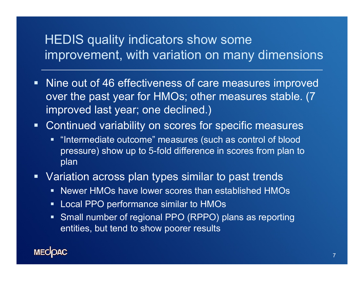## HEDIS quality indicators show some improvement, with variation on many dimensions

- Nine out of 46 effectiveness of care measures improved over the past year for HMOs; other measures stable. (7 improved last year; one declined.)
- Continued variability on scores for specific measures
	- $\blacksquare$  "Intermediate outcome" measures (such as control of blood pressure) show up to 5-fold difference in scores from plan to plan
- Variation across plan types similar to past trends
	- $\blacksquare$  $\blacksquare$  Newer HMOs have lower scores than established HMOs
	- $\blacksquare$ Local PPO performance similar to HMOs
	- $\blacksquare$ Small number of regional PPO (RPPO) plans as reporting entities, but tend to show poorer results

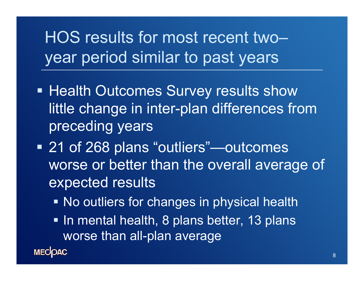# HOS results for most recent two–year period similar to past years

- Health Outcomes Survey results show little change in inter-plan differences from preceding years
- 21 of 268 plans "outliers"—outcomes worse or better than the overall average of expected results
	- **No outliers for changes in physical health**
	- In mental health, 8 plans better, 13 plans worse than all-plan average

**MECOAC**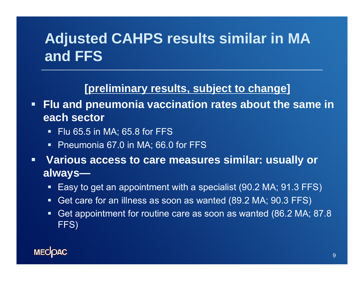## **Adjusted CAHPS results similar in MA and FFS**

#### **[preliminary results subject to change preliminary results, to ]**

 **Flu and pneumonia vaccination rates about the same in each sector** 

- $\blacksquare$  Flu 65.5 in MA; 65.8 for FFS
- Ŧ Pneumonia 67.0 in MA; 66.0 for FFS
- $\blacksquare$  **Various access to care measures similar: usually or always—**
	- Easy to get an appointment with a specialist (90.2 MA; 91.3 FFS)
	- Get care for an illness as soon as wanted (89.2 MA; 90.3 FFS)
	- Ŧ Get appointment for routine care as soon as wanted (86.2 MA; 87.8 FFS )

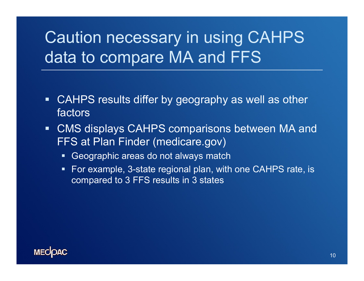# Caution necessary in using CAHPS data to compare MA and FFS

- $\blacksquare$  CAHPS results differ by geography as well as other factors
- $\blacksquare$  CMS displays CAHPS comparisons between MA and FFS at Plan Finder (medicare.gov)
	- Geographic areas do not always match
	- For example, 3-state regional plan, with one CAHPS rate, is compared to 3 FFS results in 3 states

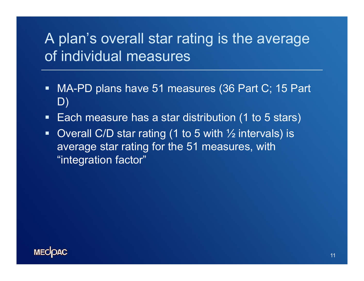## A plan's overall star rating is the average of individual measures

- $\blacksquare$ ■ MA-PD plans have 51 measures (36 Part C; 15 Part D)
- $\blacksquare$  $\textcolor{red}{\bullet}$  Each measure has a star distribution (1 to 5 stars)
- Overall C/D star rating (1 to 5 with  $\frac{1}{2}$  intervals) is average star rating for the 51 measures, with "integration factor"

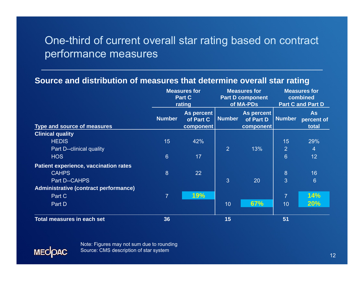#### One-third of current overall star rating based on contract performance measures

#### **Source and distribution of measures that determine overall star rating**

|                                              | <b>Measures for</b><br><b>Part C</b><br>rating |                                             | <b>Measures for</b><br><b>Part D component</b><br>of MA-PDs |                                      | <b>Measures for</b><br>combined<br><b>Part C and Part D</b> |                                  |
|----------------------------------------------|------------------------------------------------|---------------------------------------------|-------------------------------------------------------------|--------------------------------------|-------------------------------------------------------------|----------------------------------|
| Type and source of measures                  | <b>Number</b>                                  | As percent<br>of Part C<br><b>component</b> | <b>Number</b>                                               | As percent<br>of Part D<br>component | <b>Number</b>                                               | <b>As</b><br>percent of<br>total |
| <b>Clinical quality</b>                      |                                                |                                             |                                                             |                                      |                                                             |                                  |
| <b>HEDIS</b>                                 | 15                                             | 42%                                         |                                                             |                                      | 15                                                          | 29%                              |
| Part D--clinical quality                     |                                                |                                             | $\overline{2}$                                              | 13%                                  | $\overline{2}$                                              | $\overline{4}$                   |
| <b>HOS</b>                                   | $6\phantom{1}$                                 | 17                                          |                                                             |                                      | $6\phantom{1}$                                              | 12                               |
| <b>Patient experience, vaccination rates</b> |                                                |                                             |                                                             |                                      |                                                             |                                  |
| <b>CAHPS</b>                                 | 8                                              | 22                                          |                                                             |                                      | 8                                                           | 16                               |
| Part D--CAHPS                                |                                                |                                             | $\overline{3}$                                              | 20                                   | 3                                                           | $6\phantom{1}$                   |
| <b>Administrative (contract performance)</b> |                                                |                                             |                                                             |                                      |                                                             |                                  |
| Part C                                       | $\overline{7}$                                 | 19%                                         |                                                             |                                      | $\overline{7}$                                              | 14%                              |
| Part D                                       |                                                |                                             | 10                                                          | 67%                                  | 10                                                          | <b>20%</b>                       |
| <b>Total measures in each set</b>            | 36                                             |                                             | 15                                                          |                                      | 51                                                          |                                  |

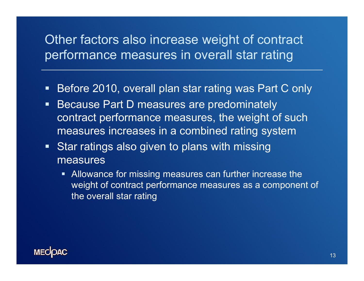## Other factors also increase weight of contract performance measures in overall star rating

- $\blacksquare$ ■ Before 2010, overall plan star rating was Part C only
- $\blacksquare$  Because Part D measures are predominately contract performance measures, the weight of such measures increases in a combined rating system
- **Star ratings also given to plans with missing** measures
	- $\blacksquare$  Allowance for missing measures can further increase the weight of contract performance measures as a component of the overall star rating

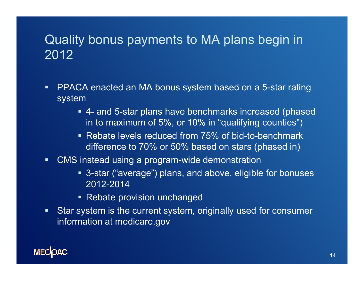## Quality bonus payments to MA plans begin in 2012

- $\blacksquare$  $\textcolor{red}{\bullet}$  PPACA enacted an MA bonus system based on a 5-star rating system
	- 4- and 5-star plans have benchmarks increased (phased in to maximum of 5%, or 10% in "qualifying counties")
	- Rebate levels reduced from 75% of bid-to-benchmark difference to 70% or 50% based on stars (phased in)
- $\blacksquare$  . ■ CMS instead using a program-wide demonstration
	- 3-star ("average") plans, and above, eligible for bonuses 2012-2014
	- Rebate provision unchanged
- $\blacksquare$  Star system is the current system, originally used for consumer information at medicare.gov

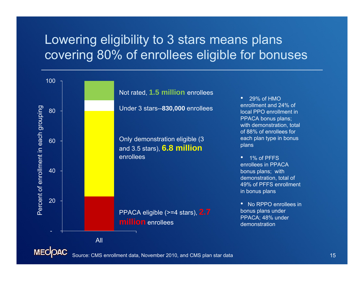## Lowering eligibility to 3 stars means plans covering 80% of enrollees eligible for bonuses



Source: CMS enrollment data, November 2010, and CMS plan star data